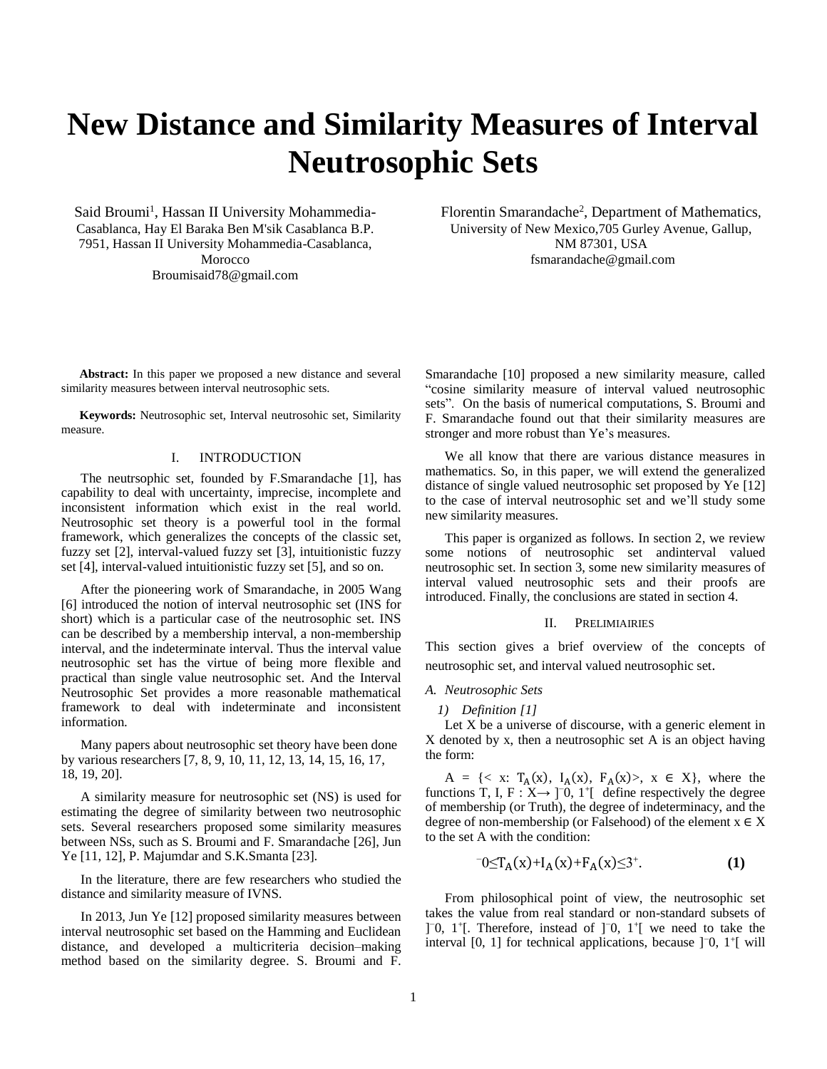# **New Distance and Similarity Measures of Interval Neutrosophic Sets**

Said Broumi<sup>1</sup>, Hassan II University Mohammedia-Casablanca, Hay El Baraka Ben M'sik Casablanca B.P. 7951, Hassan II University Mohammedia-Casablanca, Morocco Broumisaid78@gmail.com

**Abstract:** In this paper we proposed a new distance and several similarity measures between interval neutrosophic sets.

**Keywords:** Neutrosophic set, Interval neutrosohic set, Similarity measure.

## I. INTRODUCTION

The neutrsophic set, founded by F.Smarandache [1], has capability to deal with uncertainty, imprecise, incomplete and inconsistent information which exist in the real world. Neutrosophic set theory is a powerful tool in the formal framework, which generalizes the concepts of the classic set, fuzzy set [2], interval-valued fuzzy set [3], intuitionistic fuzzy set [4], interval-valued intuitionistic fuzzy set [5], and so on.

After the pioneering work of Smarandache, in 2005 Wang [6] introduced the notion of interval neutrosophic set (INS for short) which is a particular case of the neutrosophic set. INS can be described by a membership interval, a non-membership interval, and the indeterminate interval. Thus the interval value neutrosophic set has the virtue of being more flexible and practical than single value neutrosophic set. And the Interval Neutrosophic Set provides a more reasonable mathematical framework to deal with indeterminate and inconsistent information.

Many papers about neutrosophic set theory have been done by various researchers [7, 8, 9, 10, 11, 12, 13, 14, 15, 16, 17, 18, 19, 20].

A similarity measure for neutrosophic set (NS) is used for estimating the degree of similarity between two neutrosophic sets. Several researchers proposed some similarity measures between NSs, such as S. Broumi and F. Smarandache [26], Jun Ye [11, 12], P. Majumdar and S.K.Smanta [23].

In the literature, there are few researchers who studied the distance and similarity measure of IVNS.

In 2013, Jun Ye [12] proposed similarity measures between interval neutrosophic set based on the Hamming and Euclidean distance, and developed a multicriteria decision–making method based on the similarity degree. S. Broumi and F.

Florentin Smarandache<sup>2</sup>, Department of Mathematics, University of New Mexico,705 Gurley Avenue, Gallup, NM 87301, USA [fsmarandache@gmail.com](mailto:fsmarandache@gmail.com)

Smarandache [10] proposed a new similarity measure, called "cosine similarity measure of interval valued neutrosophic sets". On the basis of numerical computations, S. Broumi and F. Smarandache found out that their similarity measures are stronger and more robust than Ye's measures.

We all know that there are various distance measures in mathematics. So, in this paper, we will extend the generalized distance of single valued neutrosophic set proposed by Ye [12] to the case of interval neutrosophic set and we'll study some new similarity measures.

This paper is organized as follows. In section 2, we review some notions of neutrosophic set andinterval valued neutrosophic set. In section 3, some new similarity measures of interval valued neutrosophic sets and their proofs are introduced. Finally, the conclusions are stated in section 4.

## II. PRELIMIAIRIES

This section gives a brief overview of the concepts of neutrosophic set, and interval valued neutrosophic set.

## *A. Neutrosophic Sets*

*1) Definition [1]*

Let  $X$  be a universe of discourse, with a generic element in X denoted by x, then a neutrosophic set A is an object having the form:

A = {< x:  $T_A(x)$ ,  $I_A(x)$ ,  $F_A(x)$ ,  $x \in X$ }, where the functions T, I, F :  $X \rightarrow$  ]<sup>-</sup>0, 1<sup>+</sup>[ define respectively the degree of membership (or Truth), the degree of indeterminacy, and the degree of non-membership (or Falsehood) of the element  $x \in X$ to the set A with the condition:

$$
{}^{\bar{}}0 \leq T_A(x) + I_A(x) + F_A(x) \leq 3^+.
$$
 (1)

From philosophical point of view, the neutrosophic set takes the value from real standard or non-standard subsets of ]<sup>-</sup>0, 1<sup>+</sup>[. Therefore, instead of ]<sup>-</sup>0, 1<sup>+</sup>[ we need to take the interval [0, 1] for technical applications, because ]<sup>−</sup>0, 1<sup>+</sup> [ will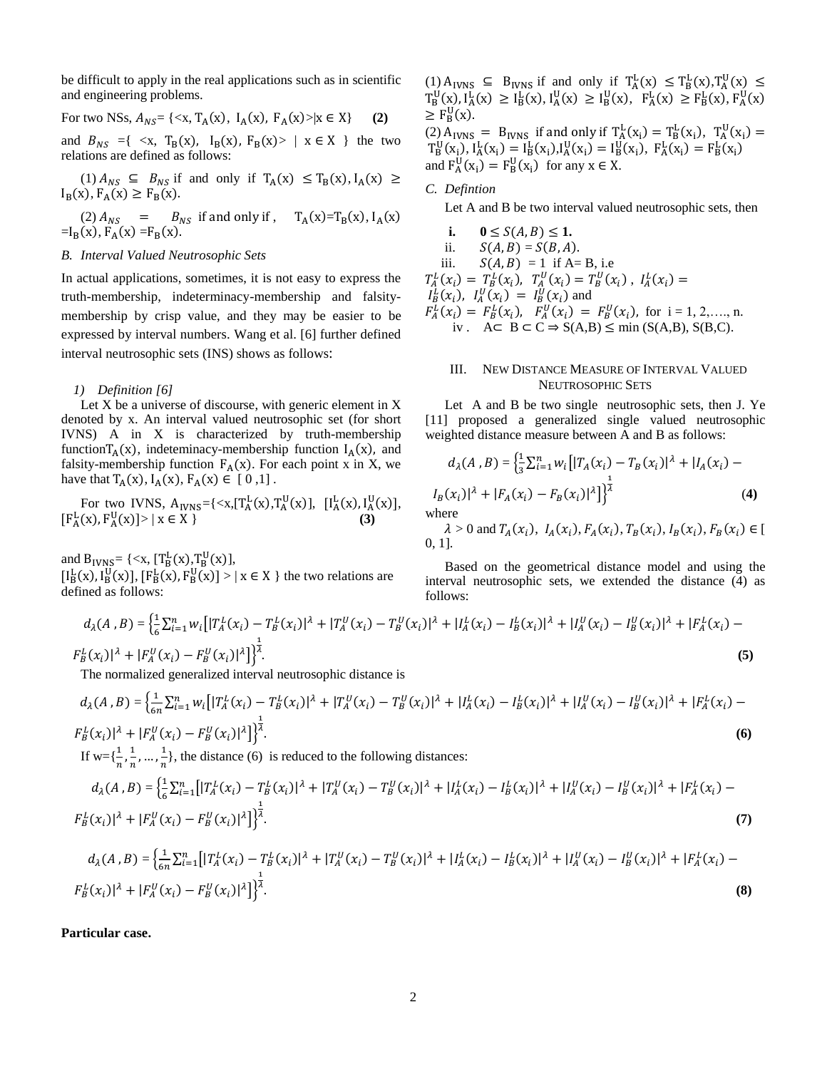be difficult to apply in the real applications such as in scientific and engineering problems.

For two NSs, 
$$
A_{NS} = \{ \langle x, T_A(x), I_A(x), F_A(x) \rangle | x \in X \}
$$
 (2)

and  $B_{NS} = \{ \langle x, T_B(x), I_B(x), F_B(x) \rangle \mid x \in X \}$  the two relations are defined as follows:

$$
(1) A_{NS} \subseteq B_{NS} \text{ if and only if } T_A(x) \le T_B(x), I_A(x) \ge I_B(x), F_A(x) \ge F_B(x).
$$

(2)  $A_{NS}$  =  $B_{NS}$  if and only if,  $T_A(x)=T_B(x)$ ,  $I_A(x)$  $=$ I<sub>B</sub>(x), F<sub>A</sub>(x) =F<sub>B</sub>(x).

## *B. Interval Valued Neutrosophic Sets*

In actual applications, sometimes, it is not easy to express the truth-membership, indeterminacy-membership and falsitymembership by crisp value, and they may be easier to be expressed by interval numbers. Wang et al. [6] further defined interval neutrosophic sets (INS) shows as follows:

#### *1) Definition [6]*

Let X be a universe of discourse, with generic element in X denoted by x. An interval valued neutrosophic set (for short IVNS) A in X is characterized by truth-membership function $T_A(x)$ , indeteminacy-membership function  $I_A(x)$ , and falsity-membership function  $F_A(x)$ . For each point x in X, we have that  $T_A(x)$ ,  $I_A(x)$ ,  $F_A(x) \in [0,1]$ .

For two IVNS,  $A_{IVNS} = \{ \langle x, [T_A^L(x), T_A^U(x)], \ [I_A^L(x), I_A^U(x)], \]$  $[F_{A}^{L}(x), F_{A}^{U}(x)] > | x \in X \}$  (3)

and  $B_{IVNS} = \{ \langle x, [T_B^L(x), T_B^U(x)],$ 

 $[I_B^L(x), I_B^U(x)], [F_B^L(x), F_B^U(x)] > | x \in X \}$  the two relations are defined as follows:

$$
(1) A_{IVNS} \subseteq B_{IVNS} \text{ if and only if } T_A^L(x) \le T_B^L(x), T_A^U(x) \le T_B^U(x), I_A^L(x) \ge I_B^L(x), I_A^U(x) \ge I_B^U(x), F_A^L(x) \ge F_B^L(x), F_A^U(x) \ge F_B^U(x).
$$

(2)  $A_{IVNS} = B_{IVNS}$  if and only if  $T_A^L(x_i) = T_B^L(x_i)$ ,  $T_A^U(x_i) =$  $T_B^U(x_i)$ ,  $I_A^L(x_i) = I_B^L(x_i)$ ,  $I_A^U(x_i) = I_B^U(x_i)$ ,  $F_A^L(x_i) = F_B^L(x_i)$ and  $F_A^U(x_i) = F_B^U(x_i)$  for any  $x \in X$ .

## *C. Defintion*

Let A and B be two interval valued neutrosophic sets, then

**i.**  $0 \le S(A, B) \le 1$ .

- ii.  $S(A, B) = S(B, A).$
- iii.  $S(A, B) = 1$  if A= B, i.e

 $T_A^L(x_i) = T_B^L(x_i), T_A^U(x_i) = T_B^U(x_i), I_A^L(x_i) =$  $I_B^L(x_i)$ ,  $I_A^U(x_i) = I_B^U(x_i)$  and

$$
F_A^L(x_i) = F_B^L(x_i), F_A^U(x_i) = F_B^U(x_i),
$$
 for  $i = 1, 2, ..., n$ .  
iv.  $A \subset B \subset C \Rightarrow S(A, B) \le \min(S(A, B), S(B, C))$ .

## III. NEW DISTANCE MEASURE OF INTERVAL VALUED NEUTROSOPHIC SETS

Let A and B be two single neutrosophic sets, then J. Ye [11] proposed a generalized single valued neutrosophic weighted distance measure between A and B as follows:

$$
d_{\lambda}(A, B) = \left\{ \frac{1}{3} \sum_{i=1}^{n} w_i \left[ |T_A(x_i) - T_B(x_i)|^{\lambda} + |I_A(x_i) - I_B(x_i)|^{\lambda} \right] \right\}
$$
  
\n
$$
I_B(x_i)|^{\lambda} + |F_A(x_i) - F_B(x_i)|^{\lambda} \Big]_0^{\frac{1}{\lambda}}
$$
 (4)  
\nwhere

 $\lambda > 0$  and  $T_A(x_i)$ ,  $I_A(x_i)$ ,  $F_A(x_i)$ ,  $T_B(x_i)$ ,  $I_B(x_i)$ ,  $F_B(x_i) \in [$ 0, 1].

Based on the geometrical distance model and using the interval neutrosophic sets, we extended the distance (4) as follows:

$$
d_{\lambda}(A, B) = \left\{ \frac{1}{6} \sum_{i=1}^{n} w_i \left[ |T_A^L(x_i) - T_B^L(x_i)|^{\lambda} + |T_A^U(x_i) - T_B^U(x_i)|^{\lambda} + |I_A^L(x_i) - I_B^L(x_i)|^{\lambda} + |I_A^U(x_i) - I_B^U(x_i)|^{\lambda} + |F_A^L(x_i) - F_B^L(x_i)|^{\lambda} \right] \right\}
$$
\n
$$
(5)
$$

The normalized generalized interval neutrosophic distance is

$$
d_{\lambda}(A, B) = \left\{ \frac{1}{6n} \sum_{i=1}^{n} w_i \left[ |T_A^L(x_i) - T_B^L(x_i)|^{\lambda} + |T_A^U(x_i) - T_B^U(x_i)|^{\lambda} + |I_A^L(x_i) - I_B^L(x_i)|^{\lambda} + |I_A^U(x_i) - I_B^U(x_i)|^{\lambda} + |F_A^L(x_i) - F_B^L(x_i)|^{\lambda} \right] \right\}^{\frac{1}{\lambda}}.
$$
\n
$$
(6)
$$

If w= $\{\frac{1}{n}, \frac{1}{n}\}$  $\frac{1}{n}, \ldots, \frac{1}{n}$  $\frac{1}{n}$ , the distance (6) is reduced to the following distances:

$$
d_{\lambda}(A, B) = \left\{ \frac{1}{6} \sum_{i=1}^{n} \left[ |T_A^L(x_i) - T_B^L(x_i)|^{\lambda} + |T_A^U(x_i) - T_B^U(x_i)|^{\lambda} + |I_A^L(x_i) - I_B^L(x_i)|^{\lambda} + |I_A^U(x_i) - I_B^U(x_i)|^{\lambda} + |F_A^L(x_i) - F_B^L(x_i)|^{\lambda} \right] \right\}^{\frac{1}{\lambda}}.
$$
\n(7)

$$
d_{\lambda}(A, B) = \left\{ \frac{1}{6n} \sum_{i=1}^{n} \left[ |T_A^L(x_i) - T_B^L(x_i)|^{\lambda} + |T_A^U(x_i) - T_B^U(x_i)|^{\lambda} + |I_A^L(x_i) - I_B^L(x_i)|^{\lambda} + |I_A^U(x_i) - I_B^U(x_i)|^{\lambda} + |F_A^L(x_i) - F_B^L(x_i)|^{\lambda} \right] \right\}^{\frac{1}{\lambda}}.
$$
\n(8)

**Particular case.**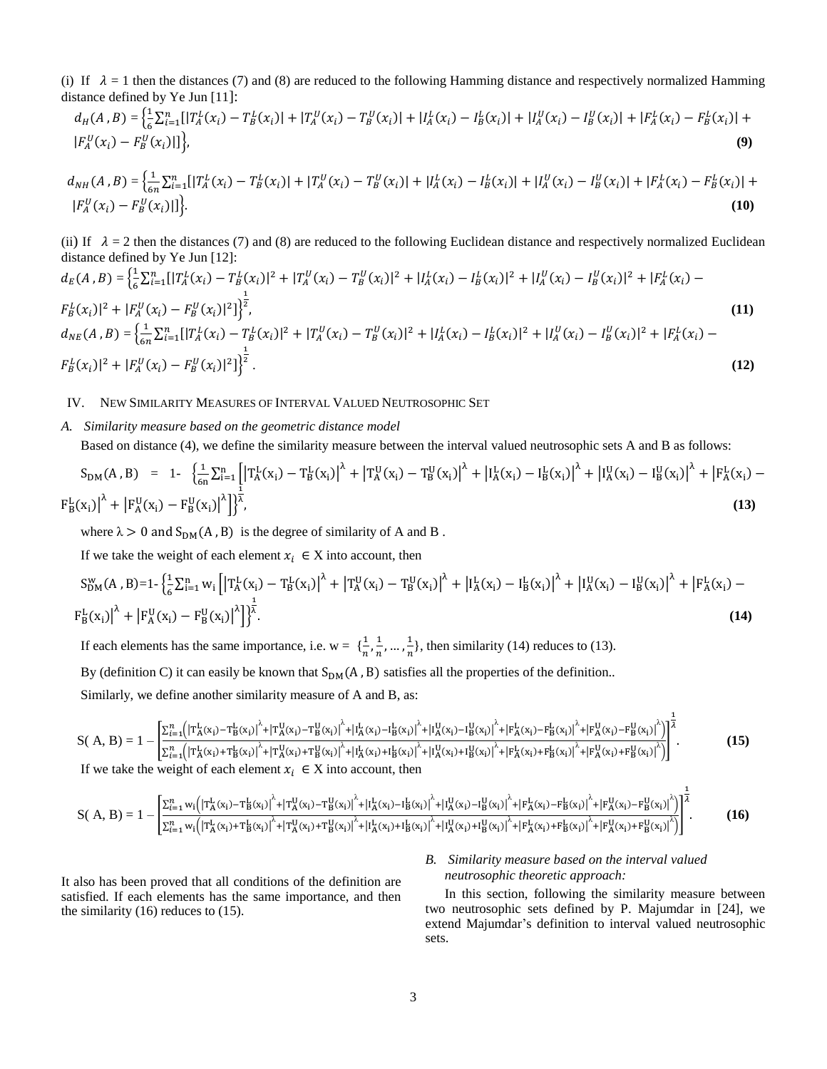(i) If  $\lambda = 1$  then the distances (7) and (8) are reduced to the following Hamming distance and respectively normalized Hamming distance defined by Ye Jun [11]:

$$
d_H(A, B) = \left\{ \frac{1}{6} \sum_{i=1}^n \left[ |T_A^L(x_i) - T_B^L(x_i)| + |T_A^U(x_i) - T_B^U(x_i)| + |I_A^L(x_i) - I_B^L(x_i)| + |I_A^U(x_i) - I_B^U(x_i)| + |F_A^L(x_i) - F_B^L(x_i)| \right] + |F_A^U(x_i) - F_B^U(x_i)| \right\},\tag{9}
$$

$$
d_{NH}(A,B) = \left\{ \frac{1}{6n} \sum_{i=1}^{n} [|T_A^L(x_i) - T_B^L(x_i)| + |T_A^U(x_i) - T_B^U(x_i)| + |I_A^L(x_i) - I_B^L(x_i)| + |I_A^U(x_i) - I_B^U(x_i)| + |F_A^L(x_i) - F_B^L(x_i)| + |F_A^U(x_i) - F_B^U(x_i)| \right\}.
$$
\n(10)

(ii) If  $\lambda = 2$  then the distances (7) and (8) are reduced to the following Euclidean distance and respectively normalized Euclidean distance defined by Ye Jun [12]:

$$
d_E(A, B) = \left\{ \frac{1}{6} \sum_{i=1}^n \left[ |T_A^L(x_i) - T_B^L(x_i)|^2 + |T_A^U(x_i) - T_B^U(x_i)|^2 + |I_A^L(x_i) - I_B^L(x_i)|^2 + |I_A^U(x_i) - I_B^U(x_i)|^2 + |F_A^L(x_i) - F_B^L(x_i)|^2 \right] \right\}^{\frac{1}{2}},
$$
\n
$$
d_{NE}(A, B) = \left\{ \frac{1}{6n} \sum_{i=1}^n \left[ |T_A^L(x_i) - T_B^L(x_i)|^2 + |T_A^U(x_i) - T_B^U(x_i)|^2 + |I_A^L(x_i) - I_B^L(x_i)|^2 + |I_A^U(x_i) - I_B^U(x_i)|^2 + |F_A^L(x_i) - F_B^L(x_i)|^2 \right] \right\}^{\frac{1}{2}}.
$$
\n(11)  
\n
$$
F_B^L(x_i)|^2 + |F_A^U(x_i) - F_B^U(x_i)|^2 \right\}^{\frac{1}{2}}.
$$

# IV. NEW SIMILARITY MEASURES OF INTERVAL VALUED NEUTROSOPHIC SET

# *A. Similarity measure based on the geometric distance model*

Based on distance (4), we define the similarity measure between the interval valued neutrosophic sets A and B as follows:

$$
S_{DM}(A, B) = 1 - \left\{ \frac{1}{6n} \sum_{i=1}^{n} \left[ \left| T_A^L(x_i) - T_B^L(x_i) \right|^{\lambda} + \left| T_A^U(x_i) - T_B^U(x_i) \right|^{\lambda} + \left| I_A^L(x_i) - I_B^L(x_i) \right|^{\lambda} + \left| I_A^U(x_i) - I_B^U(x_i) \right|^{\lambda} + \left| F_A^L(x_i) - F_B^L(x_i) \right|^{\lambda} \right\} \right\}
$$
\n
$$
(13)
$$

where  $\lambda > 0$  and  $S_{DM}(A, B)$  is the degree of similarity of A and B.

If we take the weight of each element  $x_i \in X$  into account, then

$$
S_{DM}^{w}(A,B)=1-\left\{\frac{1}{6}\sum_{i=1}^{n}w_{i}\left[\left|T_{A}^{L}(x_{i})-T_{B}^{L}(x_{i})\right|^{A}+\left|T_{A}^{U}(x_{i})-T_{B}^{U}(x_{i})\right|^{A}+\left|I_{A}^{L}(x_{i})-I_{B}^{L}(x_{i})\right|^{A}+\left|I_{A}^{U}(x_{i})-I_{B}^{U}(x_{i})\right|^{A}+\left|F_{A}^{L}(x_{i})-F_{B}^{L}(x_{i})\right|^{A}\right\}
$$
\n
$$
F_{B}^{L}(x_{i})\Big|^{A}+\left|F_{A}^{U}(x_{i})-F_{B}^{U}(x_{i})\right|^{A}\Big]^{A}_{2}.\tag{14}
$$

If each elements has the same importance, i.e.  $w = \{\frac{1}{x}\}$  $\frac{1}{n}, \frac{1}{n}$  $\frac{1}{n}, \ldots, \frac{1}{n}$  $\frac{1}{n}$ , then similarity (14) reduces to (13). By (definition C) it can easily be known that  $S_{DM}(A, B)$  satisfies all the properties of the definition..

Similarly, we define another similarity measure of A and B, as:

$$
S(A, B) = 1 - \left[ \frac{\sum_{i=1}^{n} \left( \left| T_A^L(x_i) - T_B^L(x_i) \right|^{\lambda} + \left| T_A^U(x_i) - T_B^U(x_i) \right|^{\lambda} + \left| I_A^L(x_i) - I_B^L(x_i) \right|^{\lambda} + \left| I_A^U(x_i) - I_B^U(x_i) \right|^{\lambda} + \left| F_A^L(x_i) - F_B^L(x_i) \right|^{\lambda} + \left| F_A^U(x_i) - F_B^U(x_i) \right|^{\lambda} \right]}{\sum_{i=1}^{n} \left( \left| T_A^L(x_i) + T_B^L(x_i) \right|^{\lambda} + \left| T_A^U(x_i) + T_B^U(x_i) \right|^{\lambda} + \left| I_A^L(x_i) + I_B^L(x_i) \right|^{\lambda} + \left| I_A^U(x_i) + I_B^U(x_i) \right|^{\lambda} + \left| F_A^L(x_i) + F_B^L(x_i) \right|^{\lambda} + \left| F_A^U(x_i) + F_B^U(x_i) \right|^{\lambda} \right]} \right].
$$
\n(15)

If we take the weight of each element  $x_i \in X$  into account, then

$$
S(A, B) = 1 - \left[ \frac{\sum_{i=1}^{n} w_i \left( \left| T_A^L(x_i) - T_B^L(x_i) \right|^{\lambda} + \left| T_A^U(x_i) - T_B^U(x_i) \right|^{\lambda} + \left| I_A^L(x_i) - I_B^L(x_i) \right|^{\lambda} + \left| I_A^U(x_i) - I_B^U(x_i) \right|^{\lambda} + \left| F_A^L(x_i) - F_B^L(x_i) \right|^{\lambda} + \left| F_A^U(x_i) - F_B^U(x_i) \right|^{\lambda} \right]}{\sum_{i=1}^{n} w_i \left( \left| T_A^L(x_i) + T_B^L(x_i) \right|^{\lambda} + \left| T_A^U(x_i) + T_B^U(x_i) \right|^{\lambda} + \left| I_A^L(x_i) + I_B^L(x_i) \right|^{\lambda} + \left| I_A^U(x_i) + I_B^U(x_i) \right|^{\lambda} + \left| F_A^L(x_i) + F_B^L(x_i) \right|^{\lambda} + \left| F_A^U(x_i) + F_B^U(x_i) \right|^{\lambda} \right]} \right]^{\frac{1}{\lambda}}.
$$
\n(16)

It also has been proved that all conditions of the definition are satisfied. If each elements has the same importance, and then the similarity (16) reduces to (15).

# *B. Similarity measure based on the interval valued neutrosophic theoretic approach:*

In this section, following the similarity measure between two neutrosophic sets defined by P. Majumdar in [24], we extend Majumdar's definition to interval valued neutrosophic sets.

1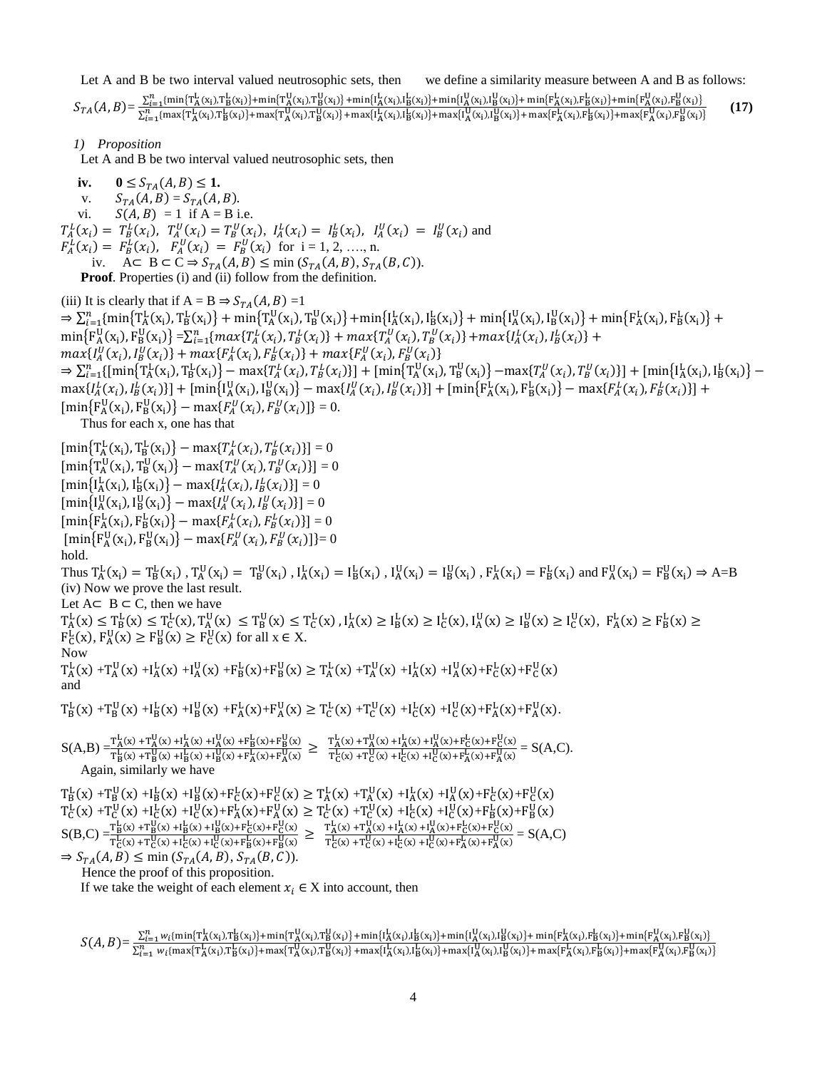Let A and B be two interval valued neutrosophic sets, then we define a similarity measure between A and B as follows:

 $S_{TA}(A, B) = \frac{\sum_{i=1}^{n} \{\min\{\texttt{T}_A^I(\mathbf{x}_i), \texttt{T}_B^I(\mathbf{x}_i)\} + \min\{\texttt{T}_A^I(\mathbf{x}_i), \texttt{T}_B^I(\mathbf{x}_i)\} + \min\{\texttt{I}_A^I(\mathbf{x}_i), \texttt{I}_B^I(\mathbf{x}_i)\} + \min\{\texttt{I}_A^I(\mathbf{x}_i), \texttt{I}_B^I(\mathbf{x}_i)\} + \min\{\texttt{I}_A^I(\mathbf{x}_i), \texttt{T}_B^I(\mathbf{x}_i)\} + \min\{\texttt{I}_A^I(\mathbf{x}_i$ **(17)**

*1) Proposition* 

Let A and B be two interval valued neutrosophic sets, then

**iv.**  $0 \le S_{TA}(A, B) \le 1$ . v.  $S_{TA}(A, B) = S_{TA}(A, B)$ .<br>vi.  $S(A, B) = 1$  if  $A = B$  i.  $S(A, B) = 1$  if  $A = B$  i.e.  $T_A^L(x_i) = T_B^L(x_i)$ ,  $T_A^U(x_i) = T_B^U(x_i)$ ,  $I_A^L(x_i) = I_B^L(x_i)$ ,  $I_A^U(x_i) = I_B^U(x_i)$  and  $F_A^L(x_i) = F_B^L(x_i)$ ,  $F_A^U(x_i) = F_B^U(x_i)$  for  $i = 1, 2, ..., n$ . iv.  $A \subset B \subset C \Rightarrow S_{TA}(A, B) \le \min(S_{TA}(A, B), S_{TA}(B, C)).$ **Proof.** Properties (i) and (ii) follow from the definition.

(iii) It is clearly that if  $A = B \Rightarrow S_{TA}(A, B) = 1$  $\Rightarrow \sum_{i=1}^{n} \{\min\left\{\text{T_A^L}(x_i), \text{T_B^L}(x_i)\right\} + \min\left\{\text{T_A^U}(x_i), \text{T_B^U}(x_i)\right\} + \min\left\{\text{I_A^L}(x_i), \text{I_B^L}(x_i)\right\} + \min\left\{\text{I_A^U}(x_i), \text{I_B^U}(x_i)\right\} + \min\left\{\text{T_A^L}(x_i), \text{F_B^L}(x_i)\right\} + \min\left\{\text{T_A^L}(x_i), \text{I_B^L}(x_i)\right\} + \min\left\{\text{T_A^L}(x_i), \text{I_B^L}(x_i)\right$  $\min\{F_A^U(x_i), F_B^U(x_i)\} = \sum_{i=1}^n \{max\{T_A^L(x_i), T_B^L(x_i)\} + max\{T_A^U(x_i), T_B^U(x_i)\} + max\{I_A^L(x_i), I_B^L(x_i)\} +$  $max\{I_A^U(x_i), I_B^U(x_i)\} + max\{F_A^L(x_i), F_B^L(x_i)\} + max\{F_A^U(x_i), F_B^U(x_i)\}$  $\Rightarrow \sum_{i=1}^{n} \{ [\min \{ T_A^L(x_i), T_B^L(x_i) \} - \max \{ T_A^L(x_i), T_B^L(x_i) \}] + [\min \{ T_A^U(x_i), T_B^U(x_i) \} - \max \{ T_A^U(x_i), T_B^U(x_i) \}] + [\min \{ I_A^L(x_i), I_B^L(x_i) \} - \max \{ T_A^L(x_i), T_B^U(x_i) \}]$  $\max\{I_A^L(x_i), I_B^L(x_i)\}\ + \ \left[\min\{I_A^U(x_i), I_B^U(x_i)\} - \max\{I_A^U(x_i), I_B^U(x_i)\}\right] + \left[\min\{F_A^L(x_i), F_B^L(x_i)\} - \max\{F_A^L(x_i), F_B^L(x_i)\}\right] +$  $[\min{\left\{F_A^U(x_i), F_B^U(x_i)\right\}} - \max{\left\{F_A^U(x_i), F_B^U(x_i)\right\}}] = 0.$ Thus for each x, one has that  $[\min\left\{T_A^L(x_i), T_B^L(x_i)\right\} - \max\{T_A^L(x_i), T_B^L(x_i)\}\] = 0$  $[\min\{T_A^U(x_i), T_B^U(x_i)\} - \max\{T_A^U(x_i), T_B^U(x_i)\}] = 0$  $[\min\{I_{A}^{L}(x_i), I_{B}^{L}(x_i)\} - \max\{I_{A}^{L}(x_i), I_{B}^{L}(x_i)\}] = 0$  $[\min\{\mathrm{I}_{\mathrm{A}}^{\mathrm{U}}(x_i), \mathrm{I}_{\mathrm{B}}^{\mathrm{U}}(x_i)\} - \max\{\mathrm{I}_{\mathrm{A}}^{\mathrm{U}}(x_i), \mathrm{I}_{\mathrm{B}}^{\mathrm{U}}(x_i)\}] = 0$  $[\min{\frac{F_{A}^{L}(x_i), F_{B}^{L}(x_i)}{-\max{F_{A}^{L}(x_i), F_{B}^{L}(x_i)}}] = 0$  $[\min{F_A^U(x_i), F_B^U(x_i)} - \max{F_A^U(x_i), F_B^U(x_i)}] = 0$ hold. Thus  $T_A^L(x_i) = T_B^L(x_i)$ ,  $T_A^U(x_i) = T_B^U(x_i)$ ,  $I_A^L(x_i) = I_B^L(x_i)$ ,  $I_A^U(x_i) = I_B^U(x_i)$ ,  $F_A^L(x_i) = F_B^L(x_i)$  and  $F_A^U(x_i) = F_B^U(x_i) \Rightarrow A = B$ (iv) Now we prove the last result. Let  $A ⊂ B ⊂ C$ , then we have  $T_A^L(x) \le T_B^L(x) \le T_C^L(x), T_A^U(x) \le T_B^U(x) \le T_C^L(x), I_A^L(x) \ge I_B^L(x), I_A^U(x) \ge I_B^U(x) \ge I_C^U(x), F_A^L(x) \ge F_B^L(x) \ge$  $F_C^L(x)$ ,  $F_A^U(x) \ge F_B^U(x) \ge F_C^U(x)$  for all  $x \in X$ . Now  $T_A^L(x) + T_A^U(x) + I_A^L(x) + I_A^U(x) + F_B^L(x) + F_B^U(x) \ge T_A^L(x) + T_A^U(x) + I_A^L(x) + I_A^U(x) + F_C^L(x) + F_C^U(x)$ and  $T_B^L(x) + T_B^U(x) + I_B^L(x) + I_B^U(x) + F_A^L(x) + F_A^U(x) \ge T_C^L(x) + T_C^U(x) + I_C^L(x) + I_C^U(x) + F_A^L(x) + F_A^U(x)$  $S(A,B) = \frac{T_A^L(x) + T_A^U(x) + T_A^L(x) + T_A^U(x) + F_B^L(x) + F_B^U(x)}{T_A^L(x) + T_A^U(x) + T_A^U(x) + T_A^U(x) + T_A^U(x) + T_A^U(x) + T_A^U(x) + T_A^U(x) + T_A^U(x) + T_A^U(x) + T_A^U(x) + T_A^U(x) + T_A^U(x)$  $\frac{T^L_A(x) + T^U_A(x) + I^L_A(x) + I^U_A(x) + F^L_B(x) + F^U_B(x)}{T^L_B(x) + I^U_B(x) + F^L_A(x) + F^U_A(x)} \geq \frac{T^L_A(x) + T^U_A(x) + I^L_A(x) + I^U_A(x) + F^L_C(x) + F^U_C(x)}{T^L_C(x) + T^U_C(x) + I^L_C(x) + I^U_C(x) + F^L_A(x) + F^U_A(x)}$  $\frac{\Gamma_{\mathbf{R}}^{L}(x) + \Gamma_{\mathbf{A}}^{L}(x) + \Gamma_{\mathbf{A}}^{L}(x) + \Gamma_{\mathbf{C}}^{L}(x) + \Gamma_{\mathbf{C}}^{L}(x) + \Gamma_{\mathbf{A}}^{L}(x) + \Gamma_{\mathbf{A}}^{L}(x) + \Gamma_{\mathbf{A}}^{L}(x)}{E_{\mathbf{A}}^{L}(x) + E_{\mathbf{A}}^{L}(x) + \Gamma_{\mathbf{A}}^{L}(x)} = \mathbf{S}(\mathbf{A}, \mathbf{C}).$ Again, similarly we ha  $T_B^L(x) + T_B^U(x) + I_B^L(x) + I_B^U(x) + F_C^L(x) + F_C^U(x) \ge T_A^L(x) + T_A^U(x) + I_A^L(x) + I_A^U(x) + F_C^L(x) + F_C^U(x)$  $T_{C}^{L}(x) + T_{C}^{U}(x) + I_{C}^{L}(x) + F_{A}^{L}(x) + F_{A}^{U}(x) \ge T_{C}^{L}(x) + T_{C}^{U}(x) + I_{C}^{L}(x) + I_{C}^{U}(x) + F_{B}^{L}(x) + F_{B}^{U}(x)$  $S(B,C) = \frac{T_B^L(x) + T_B^U(x) + T_B^L(x) + T_B^U(x) + F_C^L(x) + F_C^U(x)}{T_B^L(x) + T_A^U(x) + T_A^U(x) + T_A^U(x) + T_A^U(x) + T_A^U(x)}$  $\frac{T^L_\mathbf{B}(x) + T^U_\mathbf{B}(x) + I^L_\mathbf{B}(x) + I^U_\mathbf{B}(x) + F^L_\mathbf{C}(x) + F^U_\mathbf{C}(x)}{T^L_\mathbf{C}(x) + T^U_\mathbf{C}(x) + I^U_\mathbf{C}(x) + I^U_\mathbf{C}(x) + F^U_\mathbf{C}(x)} \geq \frac{T^L_\mathbf{A}(x) + T^U_\mathbf{A}(x) + I^L_\mathbf{A}(x) + I^U_\mathbf{A}(x) + F^L_\mathbf{C}(x) + F^U_\mathbf{C}(x)}{T^L_\mathbf{C}(x$  $\frac{\Gamma_{A}(x) + \Gamma_{A}(x) + \Gamma_{A}(x) + \Gamma_{C}(x) + \Gamma_{C}(x)}{\Gamma_{C}^{L}(x) + \Gamma_{C}^{U}(x) + \Gamma_{C}^{U}(x) + \Gamma_{A}^{U}(x) + \Gamma_{A}^{U}(x)} = S(A,C)$  $\Rightarrow S_{TA}(A, B) \leq \min (S_{TA}(A, B), S_{TA}(B, C)).$  Hence the proof of this proposition. If we take the weight of each element  $x_i \in X$  into account, then

 $S(A, B) = \frac{\sum_{i=1}^{n} w_i \{ \min\{ \texttt{T}_A^L(\textbf{x}_i), \texttt{T}_B^L(\textbf{x}_i) \} + \min\{ \texttt{T}_A^U(\textbf{x}_i), \texttt{T}_B^U(\textbf{x}_i) \} + \min\{ \texttt{I}_A^L(\textbf{x}_i), \texttt{I}_B^L(\textbf{x}_i) \} + \min\{ \texttt{I}_A^U(\textbf{x}_i), \texttt{I}_B^U(\textbf{x}_i) \} + \min\{ \texttt{F}_A^L(\textbf{x}_i), \texttt{F}_B^L(\textbf{x}_i) \} + \min\{ \texttt$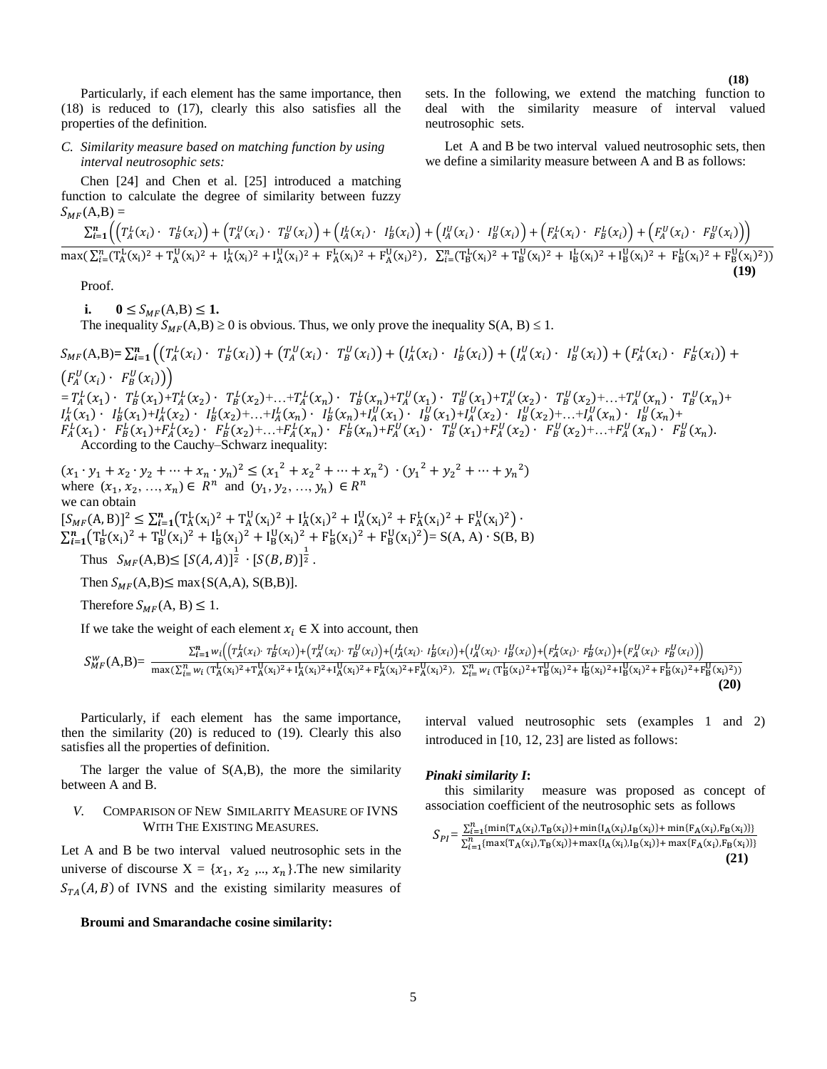*C. Similarity measure based on matching function by using interval neutrosophic sets:*

Chen [24] and Chen et al. [25] introduced a matching function to calculate the degree of similarity between fuzzy  $S_{\text{MF}}(A,B)$  =

$$
\frac{\sum_{i=1}^{n} \left( \left( T_A^L(x_i) \cdot T_B^L(x_i) \right) + \left( T_A^U(x_i) \cdot T_B^U(x_i) \right) + \left( I_A^L(x_i) \cdot I_B^L(x_i) \right) + \left( I_A^U(x_i) \cdot I_B^U(x_i) \right) + \left( F_A^L(x_i) \cdot F_B^L(x_i) \right) + \left( F_A^L(x_i) \cdot F_B^L(x_i) \right) \right)}{\max(\sum_{i=1}^{n} (T_A^L(x_i)^2 + T_A^U(x_i)^2 + I_A^L(x_i)^2 + I_A^U(x_i)^2 + F_A^L(x_i)^2 + F_A^U(x_i)^2), \sum_{i=1}^{n} (T_B^L(x_i)^2 + T_B^U(x_i)^2 + I_B^L(x_i)^2 + F_B^U(x_i)^2))}
$$

 **(19)**

Proof.

**i.**  $0 \le S_{MF}(A,B) \le 1$ .

The inequality  $S_{MF}(A,B) \ge 0$  is obvious. Thus, we only prove the inequality  $S(A, B) \le 1$ .

 $S_{MF}(\mathbf{A},\mathbf{B}) = \sum_{i=1}^{n} \left( \left( T_A^L(x_i) \cdot T_B^L(x_i) \right) + \left( T_A^U(x_i) \cdot T_B^U(x_i) \right) + \left( I_A^L(x_i) \cdot I_B^L(x_i) \right) + \left( I_A^U(x_i) \cdot I_B^U(x_i) \right) + \left( F_A^L(x_i) \cdot F_B^L(x_i) \right) + \left( F_A^L(x_i) \cdot I_B^L(x_i) \right)$  $\left(F_A^U(x_i) \cdot F_B^U(x_i)\right)\right)$  $= T_A^L(x_1) \cdot T_B^L(x_1) + T_A^L(x_2) \cdot T_B^L(x_2) + ... + T_A^L(x_n) \cdot T_B^L(x_n) + T_A^U(x_1) \cdot T_B^U(x_1) + T_A^U(x_2) \cdot T_B^U(x_2) + ... + T_A^U(x_n) \cdot T_B^U(x_n) +$  $I_A^L(x_1) \cdot I_B^L(x_1) + I_A^L(x_2) \cdot I_B^L(x_2) + ... + I_A^L(x_n) \cdot I_B^L(x_n) + I_A^U(x_1) \cdot I_B^U(x_1) + I_A^U(x_2) \cdot I_B^U(x_2) + ... + I_A^U(x_n) \cdot I_B^U(x_n) +$  $F_A^L(x_1) \cdot F_B^L(x_1) + F_A^L(x_2) \cdot F_B^L(x_2) + ... + F_A^L(x_n) \cdot F_B^L(x_n) + F_A^U(x_1) \cdot T_B^U(x_1) + F_A^U(x_2) \cdot F_B^U(x_2) + ... + F_A^U(x_n) \cdot F_B^U(x_n)$ According to the Cauchy–Schwarz inequality:

 $(x_1 \cdot y_1 + x_2 \cdot y_2 + \dots + x_n \cdot y_n)^2 \le (x_1^2 + x_2^2 + \dots + x_n^2) \cdot (y_1^2 + y_2^2 + \dots + y_n^2)$ where  $(x_1, x_2, ..., x_n) \in R^n$  and  $(y_1, y_2, ..., y_n) \in R^n$ we can obtain  $[S_{MF}(A, B)]^2 \leq \sum_{i=1}^n (T_A^L(x_i)^2 + T_A^U(x_i)^2 + I_A^L(x_i)^2 + I_A^U(x_i)^2 + F_A^L(x_i)^2 + F_A^U(x_i)^2)$  $\sum_{i=1}^{n} (T_B^L(x_i)^2 + T_B^U(x_i)^2 + I_B^L(x_i)^2 + I_B^U(x_i)^2 + F_B^L(x_i)^2 + F_B^U(x_i)^2) = S(A, A) \cdot S(B, B)$ 

Thus  $S_{MF}(A,B) \leq [S(A,A)]^{\frac{1}{2}} \cdot [S(B,B)]^{\frac{1}{2}}$ .

Then  $S_{MF}(A,B) \leq \max\{S(A,A), S(B,B)\}.$ 

Therefore  $S_{MF}(A, B) \leq 1$ .

If we take the weight of each element  $x_i \in X$  into account, then

$$
S_{MF}^{w}(A,B) = \frac{\sum_{i=1}^{n} w_i \left( \left( T_A^L(x_i) \cdot T_B^L(x_i) \right) + \left( T_A^U(x_i) \cdot T_B^U(x_i) \right) + \left( I_A^L(x_i) \cdot I_B^L(x_i) \right) + \left( I_A^U(x_i) \cdot I_B^U(x_i) \right) + \left( F_A^L(x_i) \cdot F_B^L(x_i) \right) + \left( F_A^U(x_i) \cdot F_B^U(x_i) \right) \right)}{\max(\sum_{i=1}^{n} w_i \left( T_A^L(x_i)^2 + T_A^U(x_i)^2 + I_A^L(x_i)^2 + I_A^U(x_i)^2 + F_A^L(x_i)^2 + F_A^L(x_i)^2) + \sum_{i=1}^{n} w_i \left( T_B^L(x_i)^2 + T_B^U(x_i)^2 + I_B^L(x_i)^2 + F_B^L(x_i)^2 + F_B^L(x_i)^2 \right)} \right)}
$$
(20)

Particularly, if each element has the same importance, then the similarity (20) is reduced to (19). Clearly this also satisfies all the properties of definition.

The larger the value of  $S(A,B)$ , the more the similarity between A and B.

## *V.* COMPARISON OF NEW SIMILARITY MEASURE OF IVNS WITH THE EXISTING MEASURES*.*

Let A and B be two interval valued neutrosophic sets in the universe of discourse  $X = \{x_1, x_2, ..., x_n\}$ . The new similarity  $S_{TA}(A, B)$  of IVNS and the existing similarity measures of

**Broumi and Smarandache cosine similarity:**

interval valued neutrosophic sets (examples 1 and 2) introduced in [10, 12, 23] are listed as follows:

## *Pinaki similarity I***:**

this similarity measure was proposed as concept of association coefficient of the neutrosophic sets as follows

$$
S_{PI} = \frac{\sum_{i=1}^{n} \{\min\{T_A(x_i), T_B(x_i)\} + \min\{I_A(x_i), I_B(x_i)\} + \min\{F_A(x_i), F_B(x_i)\}\}}{\sum_{i=1}^{n} \{\max\{T_A(x_i), T_B(x_i)\} + \max\{I_A(x_i), I_B(x_i)\} + \max\{F_A(x_i), F_B(x_i)\}\}}
$$
(21)

sets. In the following, we extend the matching function to deal with the similarity measure of interval valued neutrosophic sets.

Let A and B be two interval valued neutrosophic sets, then we define a similarity measure between A and B as follows: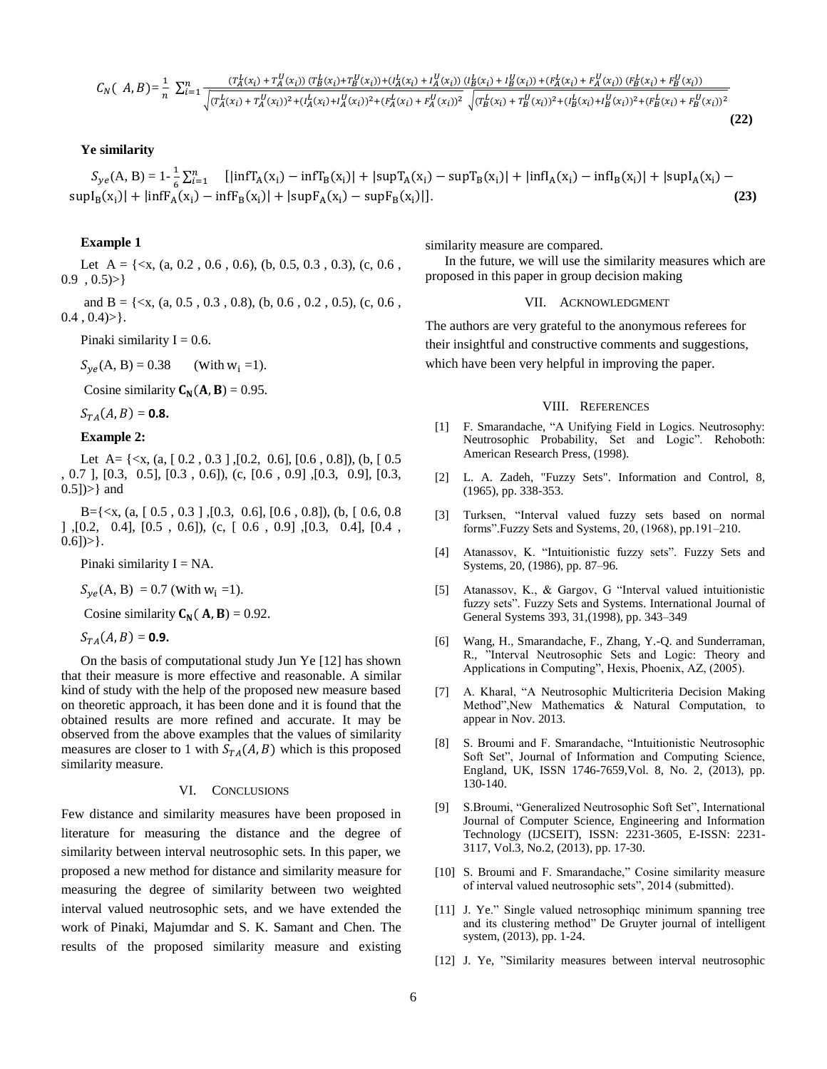$$
C_N(A,B) = \frac{1}{n} \sum_{i=1}^n \frac{(T_A^L(x_i) + T_A^U(x_i))(T_B^L(x_i) + T_B^U(x_i)) + (T_A^L(x_i) + T_A^U(x_i))(T_B^L(x_i) + T_B^U(x_i)) + (F_A^L(x_i) + F_A^U(x_i))(F_B^L(x_i) + F_B^U(x_i))}{\sqrt{(T_A^L(x_i) + T_A^U(x_i))^2 + (T_A^L(x_i) + T_A^U(x_i))^2 + (T_A^L(x_i) + T_A^U(x_i))^2} \sqrt{(T_B^L(x_i) + T_B^U(x_i))^2 + (T_B^L(x_i) + T_B^U(x_i))^2} + (F_A^L(x_i) + F_A^L(x_i))^2}
$$

## **Ye similarity**

 $S_{ye}(A, B) = 1 - \frac{1}{6}$  $\frac{1}{6}\sum_{i=1}^{n}$  [[infT<sub>A</sub>(x<sub>i</sub>) - infT<sub>B</sub>(x<sub>i</sub>)] + |supT<sub>A</sub>(x<sub>i</sub>) - supT<sub>B</sub>(x<sub>i</sub>)] + |infI<sub>A</sub>(x<sub>i</sub>) - infI<sub>B</sub>(x<sub>i</sub>)] + |supI<sub>A</sub>(x<sub>i</sub>) - $\sup I_B(x_i)| + |\inf F_A(x_i) - \inf F_B(x_i)| + |\sup F_A(x_i) - \sup F_B(x_i)|$ )|]. **(23)**

**(22)**

## **Example 1**

Let A =  $\{ \langle x, (a, 0.2, 0.6, 0.6), (b, 0.5, 0.3, 0.3), (c, 0.6,$  $0.9$ ,  $0.5$ )>}

and B = {<x, (a, 0.5 , 0.3 , 0.8), (b, 0.6 , 0.2 , 0.5), (c, 0.6 ,  $0.4$ ,  $0.4$ ) > }.

Pinaki similarity  $I = 0.6$ .

 $S_{ve}(A, B) = 0.38$  (with  $w_i = 1$ ).

Cosine similarity  $C_N(A, B) = 0.95$ .

 $S_{TA}(A, B) = 0.8$ .

## **Example 2:**

Let A=  $\{\langle x, (a, [0.2, 0.3], [0.2, 0.6], [0.6, 0.8]), (b, [0.5, 0.6], [0.6, 0.8]\}\)$ , 0.7 ], [0.3, 0.5], [0.3 , 0.6]), (c, [0.6 , 0.9] ,[0.3, 0.9], [0.3, 0.5])>} and

 $B = \{ \langle x, (a, [0.5, 0.3], [0.3, 0.6], [0.6, 0.8]), (b, [0.6, 0.8], [0.6, 0.8], [0.6, 0.8], [0.6, 0.8], [0.6, 0.8], [0.6, 0.8], [0.6, 0.8], [0.6, 0.8], [0.6, 0.8], [0.6, 0.8], [0.6, 0.8], [0.6, 0.8], [0.6, 0.8], [0.6, 0.8], [0.6, 0.8], [0.6, 0.8], [0.6, 0.8], [0.6,$ ] ,[0.2, 0.4], [0.5 , 0.6]), (c, [ 0.6 , 0.9] ,[0.3, 0.4], [0.4 ,  $0.6$ ])>}.

Pinaki similarity  $I = NA$ .

 $S_{ve}(A, B) = 0.7$  (with  $w_i = 1$ ).

Cosine similarity  $C_N(A, B) = 0.92$ .

$$
S_{TA}(A,B)=
$$
**0.9.**

On the basis of computational study Jun Ye [12] has shown that their measure is more effective and reasonable. A similar kind of study with the help of the proposed new measure based on theoretic approach, it has been done and it is found that the obtained results are more refined and accurate. It may be observed from the above examples that the values of similarity measures are closer to 1 with  $S_{TA}(A, B)$  which is this proposed similarity measure.

#### VI. CONCLUSIONS

Few distance and similarity measures have been proposed in literature for measuring the distance and the degree of similarity between interval neutrosophic sets. In this paper, we proposed a new method for distance and similarity measure for measuring the degree of similarity between two weighted interval valued neutrosophic sets, and we have extended the work of Pinaki, Majumdar and S. K. Samant and Chen. The results of the proposed similarity measure and existing similarity measure are compared.

In the future, we will use the similarity measures which are proposed in this paper in group decision making

#### VII. ACKNOWLEDGMENT

The authors are very grateful to the anonymous referees for their insightful and constructive comments and suggestions, which have been very helpful in improving the paper.

#### VIII. REFERENCES

- [1] F. Smarandache, "A Unifying Field in Logics. Neutrosophy: Neutrosophic Probability, Set and Logic". Rehoboth: American Research Press, (1998).
- [2] L. A. Zadeh, "Fuzzy Sets". Information and Control, 8, (1965), pp. 338-353.
- [3] Turksen, "Interval valued fuzzy sets based on normal forms".Fuzzy Sets and Systems, 20, (1968), pp.191–210.
- [4] Atanassov, K. "Intuitionistic fuzzy sets". Fuzzy Sets and Systems, 20, (1986), pp. 87–96.
- [5] Atanassov, K., & Gargov, G "Interval valued intuitionistic fuzzy sets". Fuzzy Sets and Systems. International Journal of General Systems 393, 31,(1998), pp. 343–349
- [6] Wang, H., Smarandache, F., Zhang, Y.-Q. and Sunderraman, R., "Interval Neutrosophic Sets and Logic: Theory and Applications in Computing", Hexis, Phoenix, AZ, (2005).
- [7] A. Kharal, "A Neutrosophic Multicriteria Decision Making Method",New Mathematics & Natural Computation, to appear in Nov. 2013.
- [8] S. Broumi and F. Smarandache, "Intuitionistic Neutrosophic Soft Set", Journal of Information and Computing Science, England, UK, ISSN 1746-7659,Vol. 8, No. 2, (2013), pp. 130-140.
- [9] S.Broumi, "Generalized Neutrosophic Soft Set", International Journal of Computer Science, Engineering and Information Technology (IJCSEIT), ISSN: 2231-3605, E-ISSN: 2231- 3117, Vol.3, No.2, (2013), pp. 17-30.
- [10] S. Broumi and F. Smarandache," Cosine similarity measure of interval valued neutrosophic sets", 2014 (submitted).
- [11] J. Ye." Single valued netrosophiqc minimum spanning tree and its clustering method" De Gruyter journal of intelligent system, (2013), pp. 1-24.
- [12] J. Ye, "Similarity measures between interval neutrosophic